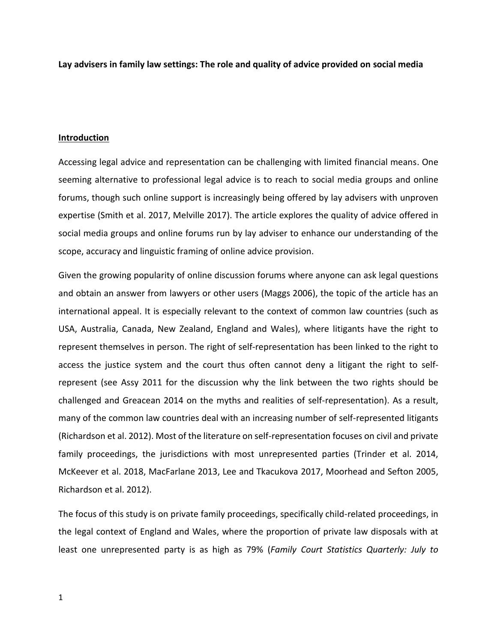**Lay advisers in family law settings: The role and quality of advice provided on social media** 

### **Introduction**

Accessing legal advice and representation can be challenging with limited financial means. One seeming alternative to professional legal advice is to reach to social media groups and online forums, though such online support is increasingly being offered by lay advisers with unproven expertise (Smith et al. 2017, Melville 2017). The article explores the quality of advice offered in social media groups and online forums run by lay adviser to enhance our understanding of the scope, accuracy and linguistic framing of online advice provision.

Given the growing popularity of online discussion forums where anyone can ask legal questions and obtain an answer from lawyers or other users (Maggs 2006), the topic of the article has an international appeal. It is especially relevant to the context of common law countries (such as USA, Australia, Canada, New Zealand, England and Wales), where litigants have the right to represent themselves in person. The right of self-representation has been linked to the right to access the justice system and the court thus often cannot deny a litigant the right to selfrepresent (see Assy 2011 for the discussion why the link between the two rights should be challenged and Greacean 2014 on the myths and realities of self-representation). As a result, many of the common law countries deal with an increasing number of self-represented litigants (Richardson et al. 2012). Most of the literature on self-representation focuses on civil and private family proceedings, the jurisdictions with most unrepresented parties (Trinder et al. 2014, McKeever et al. 2018, MacFarlane 2013, Lee and Tkacukova 2017, Moorhead and Sefton 2005, Richardson et al. 2012).

The focus of this study is on private family proceedings, specifically child-related proceedings, in the legal context of England and Wales, where the proportion of private law disposals with at least one unrepresented party is as high as 79% (*Family Court Statistics Quarterly: July to*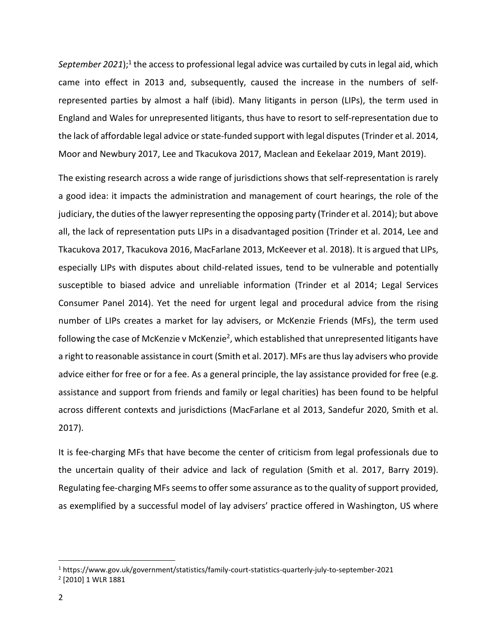September 2021);<sup>1</sup> the access to professional legal advice was curtailed by cuts in legal aid, which came into effect in 2013 and, subsequently, caused the increase in the numbers of selfrepresented parties by almost a half (ibid). Many litigants in person (LIPs), the term used in England and Wales for unrepresented litigants, thus have to resort to self-representation due to the lack of affordable legal advice or state-funded support with legal disputes (Trinder et al. 2014, Moor and Newbury 2017, Lee and Tkacukova 2017, Maclean and Eekelaar 2019, Mant 2019).

The existing research across a wide range of jurisdictions shows that self-representation is rarely a good idea: it impacts the administration and management of court hearings, the role of the judiciary, the duties of the lawyer representing the opposing party (Trinder et al. 2014); but above all, the lack of representation puts LIPs in a disadvantaged position (Trinder et al. 2014, Lee and Tkacukova 2017, Tkacukova 2016, MacFarlane 2013, McKeever et al. 2018). It is argued that LIPs, especially LIPs with disputes about child-related issues, tend to be vulnerable and potentially susceptible to biased advice and unreliable information (Trinder et al 2014; Legal Services Consumer Panel 2014). Yet the need for urgent legal and procedural advice from the rising number of LIPs creates a market for lay advisers, or McKenzie Friends (MFs), the term used following the case of McKenzie v McKenzie<sup>2</sup>, which established that unrepresented litigants have a right to reasonable assistance in court (Smith et al. 2017). MFs are thus lay advisers who provide advice either for free or for a fee. As a general principle, the lay assistance provided for free (e.g. assistance and support from friends and family or legal charities) has been found to be helpful across different contexts and jurisdictions (MacFarlane et al 2013, Sandefur 2020, Smith et al. 2017).

It is fee-charging MFs that have become the center of criticism from legal professionals due to the uncertain quality of their advice and lack of regulation (Smith et al. 2017, Barry 2019). Regulating fee-charging MFsseems to offer some assurance as to the quality of support provided, as exemplified by a successful model of lay advisers' practice offered in Washington, US where

<sup>1</sup> https://www.gov.uk/government/statistics/family-court-statistics-quarterly-july-to-september-2021

<sup>2</sup> [2010] 1 WLR 1881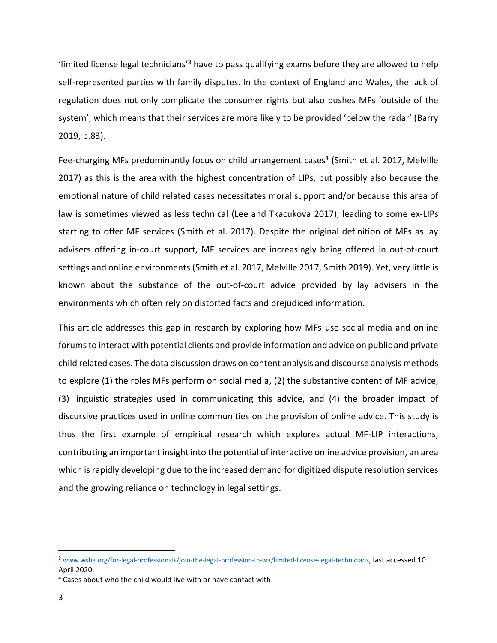'limited license legal technicians'<sup>3</sup> have to pass qualifying exams before they are allowed to help self-represented parties with family disputes. In the context of England and Wales, the lack of regulation does not only complicate the consumer rights but also pushes MFs 'outside of the system', which means that their services are more likely to be provided 'below the radar' (Barry 2019, p.83).

Fee-charging MFs predominantly focus on child arrangement cases<sup>4</sup> (Smith et al. 2017, Melville 2017) as this is the area with the highest concentration of LIPs, but possibly also because the emotional nature of child related cases necessitates moral support and/or because this area of law is sometimes viewed as less technical (Lee and Tkacukova 2017), leading to some ex-LIPs starting to offer MF services (Smith et al. 2017). Despite the original definition of MFs as lay advisers offering in-court support, MF services are increasingly being offered in out-of-court settings and online environments (Smith et al. 2017, Melville 2017, Smith 2019). Yet, very little is known about the substance of the out-of-court advice provided by lay advisers in the environments which often rely on distorted facts and prejudiced information.

This article addresses this gap in research by exploring how MFs use social media and online forumsto interact with potential clients and provide information and advice on public and private child related cases. The data discussion draws on content analysis and discourse analysis methods to explore (1) the roles MFs perform on social media, (2) the substantive content of MF advice, (3) linguistic strategies used in communicating this advice, and (4) the broader impact of discursive practices used in online communities on the provision of online advice. This study is thus the first example of empirical research which explores actual MF-LIP interactions, contributing an important insight into the potential of interactive online advice provision, an area which is rapidly developing due to the increased demand for digitized dispute resolution services and the growing reliance on technology in legal settings.

<sup>3</sup> [www.wsba.org/for-legal-professionals/join-the-legal-profession-in-wa/limited-license-legal-technicians](http://www.wsba.org/for-legal-professionals/join-the-legal-profession-in-wa/limited-license-legal-technicians), last accessed 10 April 2020.

<sup>4</sup> Cases about who the child would live with or have contact with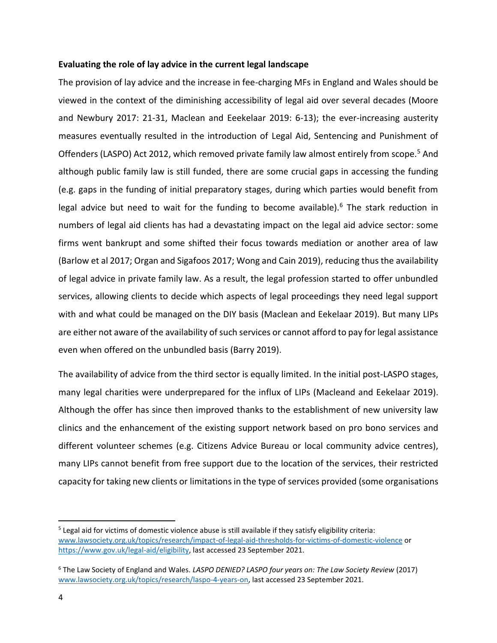## **Evaluating the role of lay advice in the current legal landscape**

The provision of lay advice and the increase in fee-charging MFs in England and Wales should be viewed in the context of the diminishing accessibility of legal aid over several decades (Moore and Newbury 2017: 21-31, Maclean and Eeekelaar 2019: 6-13); the ever-increasing austerity measures eventually resulted in the introduction of Legal Aid, Sentencing and Punishment of Offenders (LASPO) Act 2012, which removed private family law almost entirely from scope.<sup>5</sup> And although public family law is still funded, there are some crucial gaps in accessing the funding (e.g. gaps in the funding of initial preparatory stages, during which parties would benefit from legal advice but need to wait for the funding to become available).<sup>6</sup> The stark reduction in numbers of legal aid clients has had a devastating impact on the legal aid advice sector: some firms went bankrupt and some shifted their focus towards mediation or another area of law (Barlow et al 2017; Organ and Sigafoos 2017; Wong and Cain 2019), reducing thus the availability of legal advice in private family law. As a result, the legal profession started to offer unbundled services, allowing clients to decide which aspects of legal proceedings they need legal support with and what could be managed on the DIY basis (Maclean and Eekelaar 2019). But many LIPs are either not aware of the availability of such services or cannot afford to pay for legal assistance even when offered on the unbundled basis (Barry 2019).

The availability of advice from the third sector is equally limited. In the initial post-LASPO stages, many legal charities were underprepared for the influx of LIPs (Macleand and Eekelaar 2019). Although the offer has since then improved thanks to the establishment of new university law clinics and the enhancement of the existing support network based on pro bono services and different volunteer schemes (e.g. Citizens Advice Bureau or local community advice centres), many LIPs cannot benefit from free support due to the location of the services, their restricted capacity for taking new clients or limitations in the type of services provided (some organisations

<sup>5</sup> Legal aid for victims of domestic violence abuse is still available if they satisfy eligibility criteria: [www.lawsociety.org.uk/topics/research/impact-of-legal-aid-thresholds-for-victims-of-domestic-violence](https://www.lawsociety.org.uk/topics/research/impact-of-legal-aid-thresholds-for-victims-of-domestic-violence) or [https://www.gov.uk/legal-aid/eligibility,](https://www.gov.uk/legal-aid/eligibility) last accessed 23 September 2021.

<sup>6</sup> The Law Society of England and Wales. *LASPO DENIED? LASPO four years on: The Law Society Review* (2017) [www.lawsociety.org.uk/topics/research/laspo-4-years-on,](http://www.lawsociety.org.uk/topics/research/laspo-4-years-on) last accessed 23 September 2021.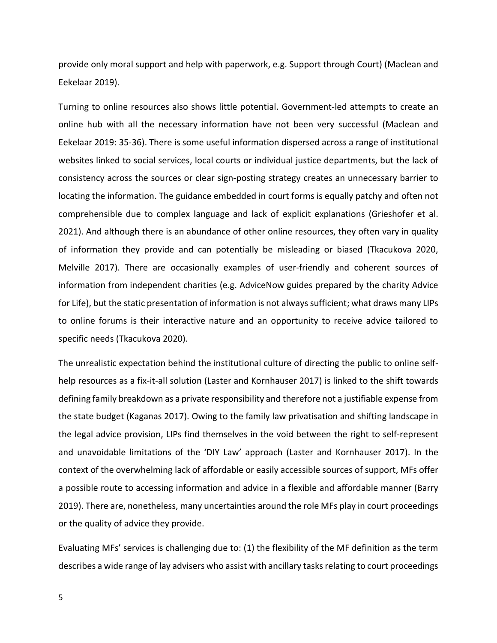provide only moral support and help with paperwork, e.g. Support through Court) (Maclean and Eekelaar 2019).

Turning to online resources also shows little potential. Government-led attempts to create an online hub with all the necessary information have not been very successful (Maclean and Eekelaar 2019: 35-36). There is some useful information dispersed across a range of institutional websites linked to social services, local courts or individual justice departments, but the lack of consistency across the sources or clear sign-posting strategy creates an unnecessary barrier to locating the information. The guidance embedded in court forms is equally patchy and often not comprehensible due to complex language and lack of explicit explanations (Grieshofer et al. 2021). And although there is an abundance of other online resources, they often vary in quality of information they provide and can potentially be misleading or biased (Tkacukova 2020, Melville 2017). There are occasionally examples of user-friendly and coherent sources of information from independent charities (e.g. AdviceNow guides prepared by the charity Advice for Life), but the static presentation of information is not always sufficient; what draws many LIPs to online forums is their interactive nature and an opportunity to receive advice tailored to specific needs (Tkacukova 2020).

The unrealistic expectation behind the institutional culture of directing the public to online selfhelp resources as a fix-it-all solution (Laster and Kornhauser 2017) is linked to the shift towards defining family breakdown as a private responsibility and therefore not a justifiable expense from the state budget (Kaganas 2017). Owing to the family law privatisation and shifting landscape in the legal advice provision, LIPs find themselves in the void between the right to self-represent and unavoidable limitations of the 'DIY Law' approach (Laster and Kornhauser 2017). In the context of the overwhelming lack of affordable or easily accessible sources of support, MFs offer a possible route to accessing information and advice in a flexible and affordable manner (Barry 2019). There are, nonetheless, many uncertainties around the role MFs play in court proceedings or the quality of advice they provide.

Evaluating MFs' services is challenging due to: (1) the flexibility of the MF definition as the term describes a wide range of lay advisers who assist with ancillary tasks relating to court proceedings

5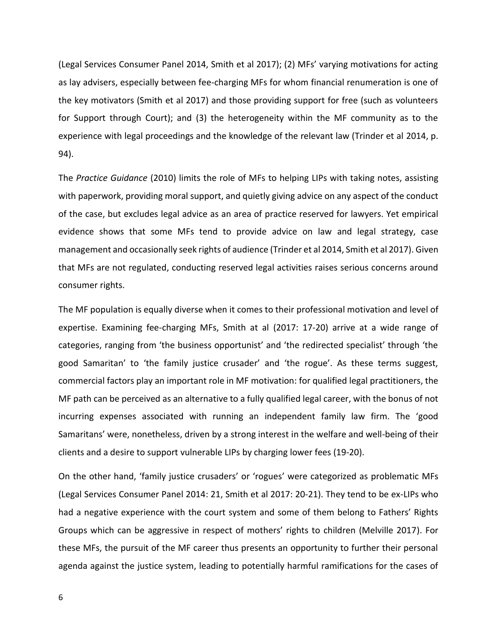(Legal Services Consumer Panel 2014, Smith et al 2017); (2) MFs' varying motivations for acting as lay advisers, especially between fee-charging MFs for whom financial renumeration is one of the key motivators (Smith et al 2017) and those providing support for free (such as volunteers for Support through Court); and (3) the heterogeneity within the MF community as to the experience with legal proceedings and the knowledge of the relevant law (Trinder et al 2014, p. 94).

The *Practice Guidance* (2010) limits the role of MFs to helping LIPs with taking notes, assisting with paperwork, providing moral support, and quietly giving advice on any aspect of the conduct of the case, but excludes legal advice as an area of practice reserved for lawyers. Yet empirical evidence shows that some MFs tend to provide advice on law and legal strategy, case management and occasionally seek rights of audience (Trinder et al 2014, Smith et al 2017). Given that MFs are not regulated, conducting reserved legal activities raises serious concerns around consumer rights.

The MF population is equally diverse when it comes to their professional motivation and level of expertise. Examining fee-charging MFs, Smith at al (2017: 17-20) arrive at a wide range of categories, ranging from 'the business opportunist' and 'the redirected specialist' through 'the good Samaritan' to 'the family justice crusader' and 'the rogue'. As these terms suggest, commercial factors play an important role in MF motivation: for qualified legal practitioners, the MF path can be perceived as an alternative to a fully qualified legal career, with the bonus of not incurring expenses associated with running an independent family law firm. The 'good Samaritans' were, nonetheless, driven by a strong interest in the welfare and well-being of their clients and a desire to support vulnerable LIPs by charging lower fees (19-20).

On the other hand, 'family justice crusaders' or 'rogues' were categorized as problematic MFs (Legal Services Consumer Panel 2014: 21, Smith et al 2017: 20-21). They tend to be ex-LIPs who had a negative experience with the court system and some of them belong to Fathers' Rights Groups which can be aggressive in respect of mothers' rights to children (Melville 2017). For these MFs, the pursuit of the MF career thus presents an opportunity to further their personal agenda against the justice system, leading to potentially harmful ramifications for the cases of

6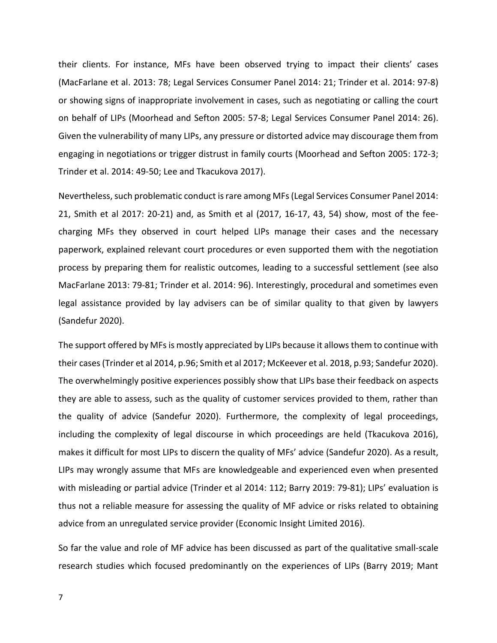their clients. For instance, MFs have been observed trying to impact their clients' cases (MacFarlane et al. 2013: 78; Legal Services Consumer Panel 2014: 21; Trinder et al. 2014: 97-8) or showing signs of inappropriate involvement in cases, such as negotiating or calling the court on behalf of LIPs (Moorhead and Sefton 2005: 57-8; Legal Services Consumer Panel 2014: 26). Given the vulnerability of many LIPs, any pressure or distorted advice may discourage them from engaging in negotiations or trigger distrust in family courts (Moorhead and Sefton 2005: 172-3; Trinder et al. 2014: 49-50; Lee and Tkacukova 2017).

Nevertheless, such problematic conduct is rare among MFs (Legal Services Consumer Panel 2014: 21, Smith et al 2017: 20-21) and, as Smith et al (2017, 16-17, 43, 54) show, most of the feecharging MFs they observed in court helped LIPs manage their cases and the necessary paperwork, explained relevant court procedures or even supported them with the negotiation process by preparing them for realistic outcomes, leading to a successful settlement (see also MacFarlane 2013: 79-81; Trinder et al. 2014: 96). Interestingly, procedural and sometimes even legal assistance provided by lay advisers can be of similar quality to that given by lawyers (Sandefur 2020).

The support offered by MFs is mostly appreciated by LIPs because it allows them to continue with their cases(Trinder et al 2014, p.96; Smith et al 2017; McKeever et al. 2018, p.93; Sandefur 2020). The overwhelmingly positive experiences possibly show that LIPs base their feedback on aspects they are able to assess, such as the quality of customer services provided to them, rather than the quality of advice (Sandefur 2020). Furthermore, the complexity of legal proceedings, including the complexity of legal discourse in which proceedings are held (Tkacukova 2016), makes it difficult for most LIPs to discern the quality of MFs' advice (Sandefur 2020). As a result, LIPs may wrongly assume that MFs are knowledgeable and experienced even when presented with misleading or partial advice (Trinder et al 2014: 112; Barry 2019: 79-81); LIPs' evaluation is thus not a reliable measure for assessing the quality of MF advice or risks related to obtaining advice from an unregulated service provider (Economic Insight Limited 2016).

So far the value and role of MF advice has been discussed as part of the qualitative small-scale research studies which focused predominantly on the experiences of LIPs (Barry 2019; Mant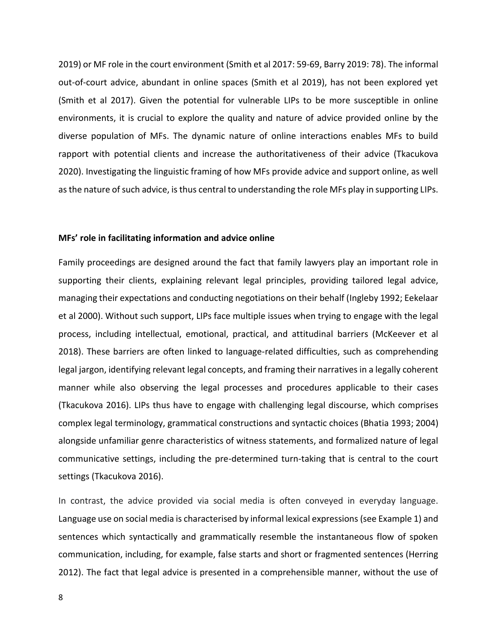2019) or MF role in the court environment (Smith et al 2017: 59-69, Barry 2019: 78). The informal out-of-court advice, abundant in online spaces (Smith et al 2019), has not been explored yet (Smith et al 2017). Given the potential for vulnerable LIPs to be more susceptible in online environments, it is crucial to explore the quality and nature of advice provided online by the diverse population of MFs. The dynamic nature of online interactions enables MFs to build rapport with potential clients and increase the authoritativeness of their advice (Tkacukova 2020). Investigating the linguistic framing of how MFs provide advice and support online, as well as the nature of such advice, is thus central to understanding the role MFs play in supporting LIPs.

#### **MFs' role in facilitating information and advice online**

Family proceedings are designed around the fact that family lawyers play an important role in supporting their clients, explaining relevant legal principles, providing tailored legal advice, managing their expectations and conducting negotiations on their behalf (Ingleby 1992; Eekelaar et al 2000). Without such support, LIPs face multiple issues when trying to engage with the legal process, including intellectual, emotional, practical, and attitudinal barriers (McKeever et al 2018). These barriers are often linked to language-related difficulties, such as comprehending legal jargon, identifying relevant legal concepts, and framing their narratives in a legally coherent manner while also observing the legal processes and procedures applicable to their cases (Tkacukova 2016). LIPs thus have to engage with challenging legal discourse, which comprises complex legal terminology, grammatical constructions and syntactic choices (Bhatia 1993; 2004) alongside unfamiliar genre characteristics of witness statements, and formalized nature of legal communicative settings, including the pre-determined turn-taking that is central to the court settings (Tkacukova 2016).

In contrast, the advice provided via social media is often conveyed in everyday language. Language use on social media is characterised by informal lexical expressions (see Example 1) and sentences which syntactically and grammatically resemble the instantaneous flow of spoken communication, including, for example, false starts and short or fragmented sentences (Herring 2012). The fact that legal advice is presented in a comprehensible manner, without the use of

8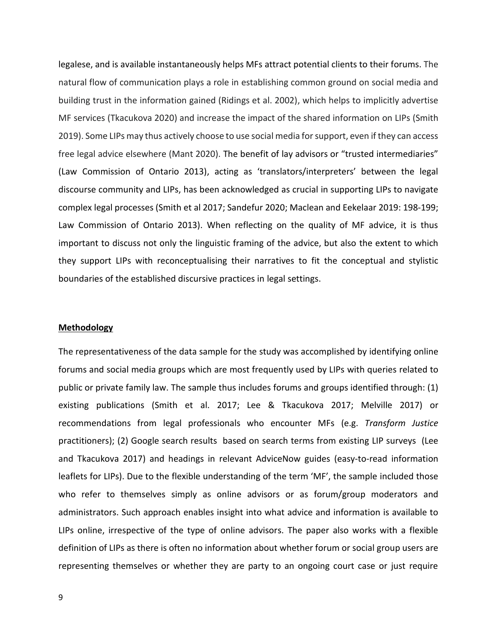legalese, and is available instantaneously helps MFs attract potential clients to their forums. The natural flow of communication plays a role in establishing common ground on social media and building trust in the information gained (Ridings et al. 2002), which helps to implicitly advertise MF services (Tkacukova 2020) and increase the impact of the shared information on LIPs (Smith 2019). Some LIPs may thus actively choose to use social media for support, even if they can access free legal advice elsewhere (Mant 2020). The benefit of lay advisors or "trusted intermediaries" (Law Commission of Ontario 2013), acting as 'translators/interpreters' between the legal discourse community and LIPs, has been acknowledged as crucial in supporting LIPs to navigate complex legal processes (Smith et al 2017; Sandefur 2020; Maclean and Eekelaar 2019: 198-199; Law Commission of Ontario 2013). When reflecting on the quality of MF advice, it is thus important to discuss not only the linguistic framing of the advice, but also the extent to which they support LIPs with reconceptualising their narratives to fit the conceptual and stylistic boundaries of the established discursive practices in legal settings.

### **Methodology**

The representativeness of the data sample for the study was accomplished by identifying online forums and social media groups which are most frequently used by LIPs with queries related to public or private family law. The sample thus includes forums and groups identified through: (1) existing publications (Smith et al. 2017; Lee & Tkacukova 2017; Melville 2017) or recommendations from legal professionals who encounter MFs (e.g. *Transform Justice* practitioners); (2) Google search results based on search terms from existing LIP surveys (Lee and Tkacukova 2017) and headings in relevant AdviceNow guides (easy-to-read information leaflets for LIPs). Due to the flexible understanding of the term 'MF', the sample included those who refer to themselves simply as online advisors or as forum/group moderators and administrators. Such approach enables insight into what advice and information is available to LIPs online, irrespective of the type of online advisors. The paper also works with a flexible definition of LIPs as there is often no information about whether forum or social group users are representing themselves or whether they are party to an ongoing court case or just require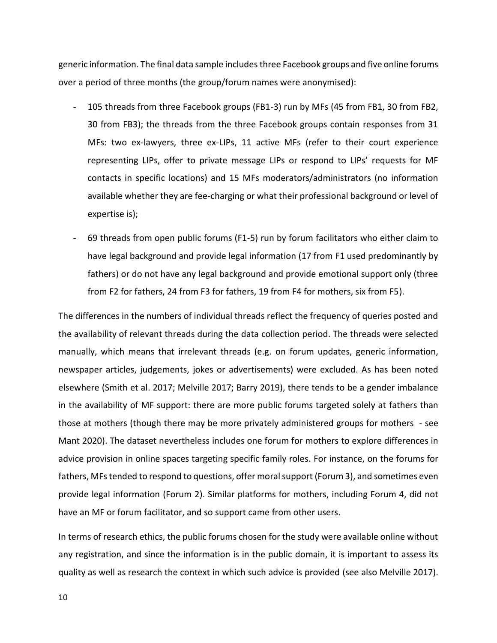generic information. The final data sample includesthree Facebook groups and five online forums over a period of three months (the group/forum names were anonymised):

- 105 threads from three Facebook groups (FB1-3) run by MFs (45 from FB1, 30 from FB2, 30 from FB3); the threads from the three Facebook groups contain responses from 31 MFs: two ex-lawyers, three ex-LIPs, 11 active MFs (refer to their court experience representing LIPs, offer to private message LIPs or respond to LIPs' requests for MF contacts in specific locations) and 15 MFs moderators/administrators (no information available whether they are fee-charging or what their professional background or level of expertise is);
- 69 threads from open public forums (F1-5) run by forum facilitators who either claim to have legal background and provide legal information (17 from F1 used predominantly by fathers) or do not have any legal background and provide emotional support only (three from F2 for fathers, 24 from F3 for fathers, 19 from F4 for mothers, six from F5).

The differences in the numbers of individual threads reflect the frequency of queries posted and the availability of relevant threads during the data collection period. The threads were selected manually, which means that irrelevant threads (e.g. on forum updates, generic information, newspaper articles, judgements, jokes or advertisements) were excluded. As has been noted elsewhere (Smith et al. 2017; Melville 2017; Barry 2019), there tends to be a gender imbalance in the availability of MF support: there are more public forums targeted solely at fathers than those at mothers (though there may be more privately administered groups for mothers - see Mant 2020). The dataset nevertheless includes one forum for mothers to explore differences in advice provision in online spaces targeting specific family roles. For instance, on the forums for fathers, MFs tended to respond to questions, offer moral support (Forum 3), and sometimes even provide legal information (Forum 2). Similar platforms for mothers, including Forum 4, did not have an MF or forum facilitator, and so support came from other users.

In terms of research ethics, the public forums chosen for the study were available online without any registration, and since the information is in the public domain, it is important to assess its quality as well as research the context in which such advice is provided (see also Melville 2017).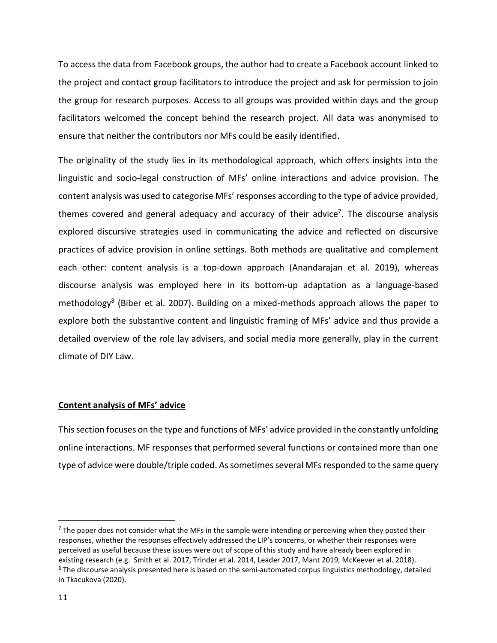To access the data from Facebook groups, the author had to create a Facebook account linked to the project and contact group facilitators to introduce the project and ask for permission to join the group for research purposes. Access to all groups was provided within days and the group facilitators welcomed the concept behind the research project. All data was anonymised to ensure that neither the contributors nor MFs could be easily identified.

The originality of the study lies in its methodological approach, which offers insights into the linguistic and socio-legal construction of MFs' online interactions and advice provision. The content analysis was used to categorise MFs' responses according to the type of advice provided, themes covered and general adequacy and accuracy of their advice<sup>7</sup>. The discourse analysis explored discursive strategies used in communicating the advice and reflected on discursive practices of advice provision in online settings. Both methods are qualitative and complement each other: content analysis is a top-down approach (Anandarajan et al. 2019), whereas discourse analysis was employed here in its bottom-up adaptation as a language-based methodology<sup>8</sup> (Biber et al. 2007). Building on a mixed-methods approach allows the paper to explore both the substantive content and linguistic framing of MFs' advice and thus provide a detailed overview of the role lay advisers, and social media more generally, play in the current climate of DIY Law.

# **Content analysis of MFs' advice**

This section focuses on the type and functions of MFs' advice provided in the constantly unfolding online interactions. MF responses that performed several functions or contained more than one type of advice were double/triple coded. Assometimes several MFs responded to the same query

 $7$  The paper does not consider what the MFs in the sample were intending or perceiving when they posted their responses, whether the responses effectively addressed the LIP's concerns, or whether their responses were perceived as useful because these issues were out of scope of this study and have already been explored in existing research (e.g. Smith et al. 2017, Trinder et al. 2014, Leader 2017, Mant 2019, McKeever et al. 2018).  $8$  The discourse analysis presented here is based on the semi-automated corpus linguistics methodology, detailed in Tkacukova (2020).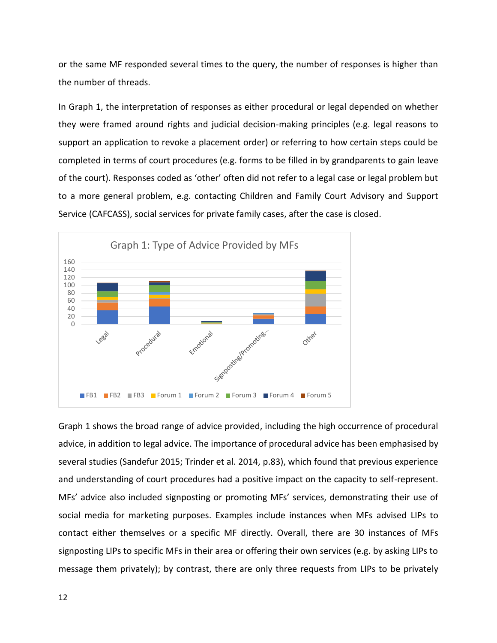or the same MF responded several times to the query, the number of responses is higher than the number of threads.

In Graph 1, the interpretation of responses as either procedural or legal depended on whether they were framed around rights and judicial decision-making principles (e.g. legal reasons to support an application to revoke a placement order) or referring to how certain steps could be completed in terms of court procedures (e.g. forms to be filled in by grandparents to gain leave of the court). Responses coded as 'other' often did not refer to a legal case or legal problem but to a more general problem, e.g. contacting Children and Family Court Advisory and Support Service (CAFCASS), social services for private family cases, after the case is closed.



Graph 1 shows the broad range of advice provided, including the high occurrence of procedural advice, in addition to legal advice. The importance of procedural advice has been emphasised by several studies (Sandefur 2015; Trinder et al. 2014, p.83), which found that previous experience and understanding of court procedures had a positive impact on the capacity to self-represent. MFs' advice also included signposting or promoting MFs' services, demonstrating their use of social media for marketing purposes. Examples include instances when MFs advised LIPs to contact either themselves or a specific MF directly. Overall, there are 30 instances of MFs signposting LIPs to specific MFs in their area or offering their own services (e.g. by asking LIPs to message them privately); by contrast, there are only three requests from LIPs to be privately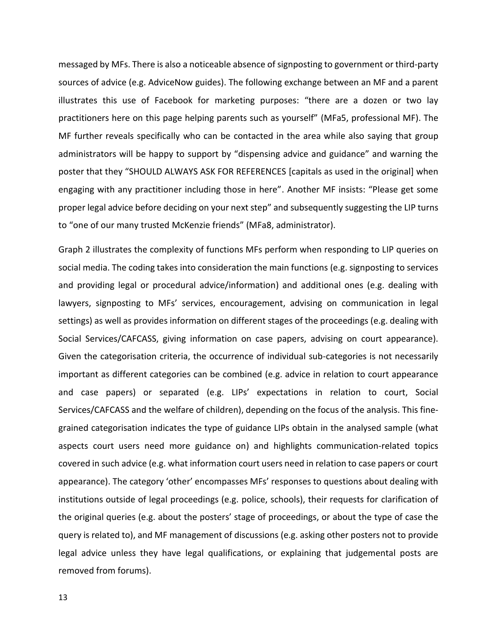messaged by MFs. There is also a noticeable absence of signposting to government or third-party sources of advice (e.g. AdviceNow guides). The following exchange between an MF and a parent illustrates this use of Facebook for marketing purposes: "there are a dozen or two lay practitioners here on this page helping parents such as yourself" (MFa5, professional MF). The MF further reveals specifically who can be contacted in the area while also saying that group administrators will be happy to support by "dispensing advice and guidance" and warning the poster that they "SHOULD ALWAYS ASK FOR REFERENCES [capitals as used in the original] when engaging with any practitioner including those in here". Another MF insists: "Please get some proper legal advice before deciding on your next step" and subsequently suggesting the LIP turns to "one of our many trusted McKenzie friends" (MFa8, administrator).

Graph 2 illustrates the complexity of functions MFs perform when responding to LIP queries on social media. The coding takes into consideration the main functions (e.g. signposting to services and providing legal or procedural advice/information) and additional ones (e.g. dealing with lawyers, signposting to MFs' services, encouragement, advising on communication in legal settings) as well as provides information on different stages of the proceedings (e.g. dealing with Social Services/CAFCASS, giving information on case papers, advising on court appearance). Given the categorisation criteria, the occurrence of individual sub-categories is not necessarily important as different categories can be combined (e.g. advice in relation to court appearance and case papers) or separated (e.g. LIPs' expectations in relation to court, Social Services/CAFCASS and the welfare of children), depending on the focus of the analysis. This finegrained categorisation indicates the type of guidance LIPs obtain in the analysed sample (what aspects court users need more guidance on) and highlights communication-related topics covered in such advice (e.g. what information court users need in relation to case papers or court appearance). The category 'other' encompasses MFs' responses to questions about dealing with institutions outside of legal proceedings (e.g. police, schools), their requests for clarification of the original queries (e.g. about the posters' stage of proceedings, or about the type of case the query is related to), and MF management of discussions (e.g. asking other posters not to provide legal advice unless they have legal qualifications, or explaining that judgemental posts are removed from forums).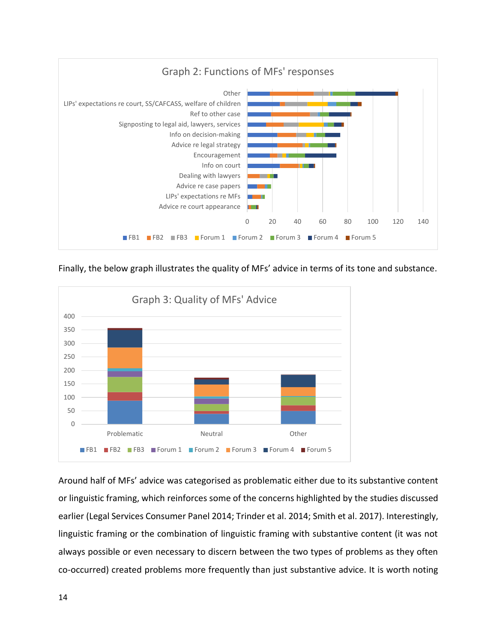

Finally, the below graph illustrates the quality of MFs' advice in terms of its tone and substance.



Around half of MFs' advice was categorised as problematic either due to its substantive content or linguistic framing, which reinforces some of the concerns highlighted by the studies discussed earlier (Legal Services Consumer Panel 2014; Trinder et al. 2014; Smith et al. 2017). Interestingly, linguistic framing or the combination of linguistic framing with substantive content (it was not always possible or even necessary to discern between the two types of problems as they often co-occurred) created problems more frequently than just substantive advice. It is worth noting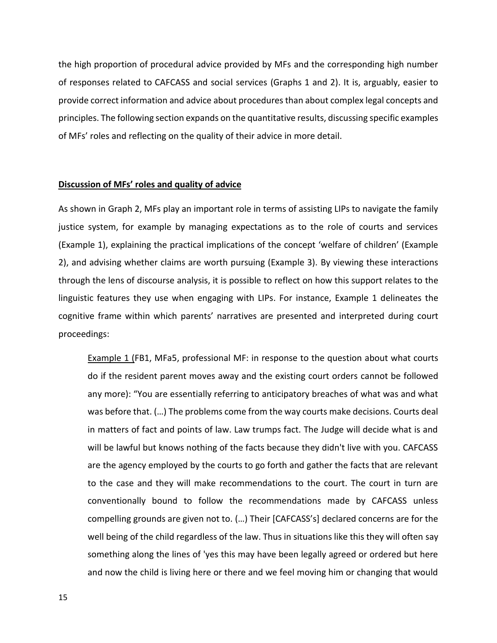the high proportion of procedural advice provided by MFs and the corresponding high number of responses related to CAFCASS and social services (Graphs 1 and 2). It is, arguably, easier to provide correct information and advice about procedures than about complex legal concepts and principles. The following section expands on the quantitative results, discussing specific examples of MFs' roles and reflecting on the quality of their advice in more detail.

### **Discussion of MFs' roles and quality of advice**

As shown in Graph 2, MFs play an important role in terms of assisting LIPs to navigate the family justice system, for example by managing expectations as to the role of courts and services (Example 1), explaining the practical implications of the concept 'welfare of children' (Example 2), and advising whether claims are worth pursuing (Example 3). By viewing these interactions through the lens of discourse analysis, it is possible to reflect on how this support relates to the linguistic features they use when engaging with LIPs. For instance, Example 1 delineates the cognitive frame within which parents' narratives are presented and interpreted during court proceedings:

Example 1 (FB1, MFa5, professional MF: in response to the question about what courts do if the resident parent moves away and the existing court orders cannot be followed any more): "You are essentially referring to anticipatory breaches of what was and what was before that. (…) The problems come from the way courts make decisions. Courts deal in matters of fact and points of law. Law trumps fact. The Judge will decide what is and will be lawful but knows nothing of the facts because they didn't live with you. CAFCASS are the agency employed by the courts to go forth and gather the facts that are relevant to the case and they will make recommendations to the court. The court in turn are conventionally bound to follow the recommendations made by CAFCASS unless compelling grounds are given not to. (…) Their [CAFCASS's] declared concerns are for the well being of the child regardless of the law. Thus in situations like this they will often say something along the lines of 'yes this may have been legally agreed or ordered but here and now the child is living here or there and we feel moving him or changing that would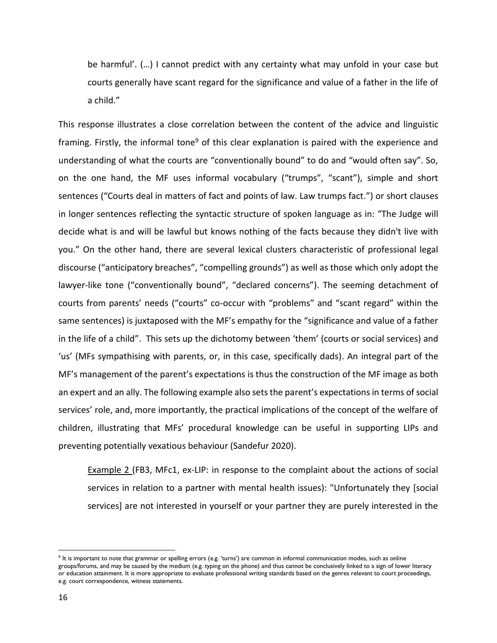be harmful'. (…) I cannot predict with any certainty what may unfold in your case but courts generally have scant regard for the significance and value of a father in the life of a child."

This response illustrates a close correlation between the content of the advice and linguistic framing. Firstly, the informal tone<sup>9</sup> of this clear explanation is paired with the experience and understanding of what the courts are "conventionally bound" to do and "would often say". So, on the one hand, the MF uses informal vocabulary ("trumps", "scant"), simple and short sentences ("Courts deal in matters of fact and points of law. Law trumps fact.") or short clauses in longer sentences reflecting the syntactic structure of spoken language as in: "The Judge will decide what is and will be lawful but knows nothing of the facts because they didn't live with you." On the other hand, there are several lexical clusters characteristic of professional legal discourse ("anticipatory breaches", "compelling grounds") as well as those which only adopt the lawyer-like tone ("conventionally bound", "declared concerns"). The seeming detachment of courts from parents' needs ("courts" co-occur with "problems" and "scant regard" within the same sentences) is juxtaposed with the MF's empathy for the "significance and value of a father in the life of a child". This sets up the dichotomy between 'them' (courts or social services) and 'us' (MFs sympathising with parents, or, in this case, specifically dads). An integral part of the MF's management of the parent's expectations is thus the construction of the MF image as both an expert and an ally. The following example also sets the parent's expectations in terms of social services' role, and, more importantly, the practical implications of the concept of the welfare of children, illustrating that MFs' procedural knowledge can be useful in supporting LIPs and preventing potentially vexatious behaviour (Sandefur 2020).

Example 2 (FB3, MFc1, ex-LIP: in response to the complaint about the actions of social services in relation to a partner with mental health issues): "Unfortunately they [social services] are not interested in yourself or your partner they are purely interested in the

<sup>&</sup>lt;sup>9</sup> It is important to note that grammar or spelling errors (e.g. 'turns') are common in informal communication modes, such as online groups/forums, and may be caused by the medium (e.g. typing on the phone) and thus cannot be conclusively linked to a sign of lower literacy or education attainment. It is more appropriate to evaluate professional writing standards based on the genres relevant to court proceedings, e.g. court correspondence, witness statements.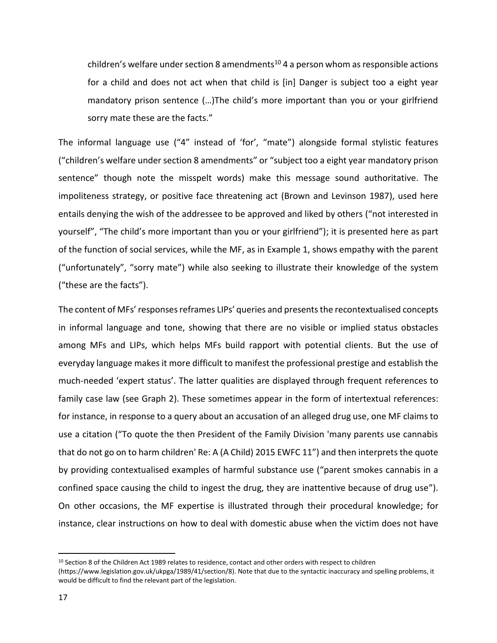children's welfare under section 8 amendments<sup>10</sup> 4 a person whom as responsible actions for a child and does not act when that child is [in] Danger is subject too a eight year mandatory prison sentence (…)The child's more important than you or your girlfriend sorry mate these are the facts."

The informal language use ("4" instead of 'for', "mate") alongside formal stylistic features ("children's welfare under section 8 amendments" or "subject too a eight year mandatory prison sentence" though note the misspelt words) make this message sound authoritative. The impoliteness strategy, or positive face threatening act (Brown and Levinson 1987), used here entails denying the wish of the addressee to be approved and liked by others ("not interested in yourself", "The child's more important than you or your girlfriend"); it is presented here as part of the function of social services, while the MF, as in Example 1, shows empathy with the parent ("unfortunately", "sorry mate") while also seeking to illustrate their knowledge of the system ("these are the facts").

The content of MFs' responses reframes LIPs' queries and presents the recontextualised concepts in informal language and tone, showing that there are no visible or implied status obstacles among MFs and LIPs, which helps MFs build rapport with potential clients. But the use of everyday language makes it more difficult to manifest the professional prestige and establish the much-needed 'expert status'. The latter qualities are displayed through frequent references to family case law (see Graph 2). These sometimes appear in the form of intertextual references: for instance, in response to a query about an accusation of an alleged drug use, one MF claims to use a citation ("To quote the then President of the Family Division 'many parents use cannabis that do not go on to harm children' Re: A (A Child) 2015 EWFC 11") and then interprets the quote by providing contextualised examples of harmful substance use ("parent smokes cannabis in a confined space causing the child to ingest the drug, they are inattentive because of drug use"). On other occasions, the MF expertise is illustrated through their procedural knowledge; for instance, clear instructions on how to deal with domestic abuse when the victim does not have

<sup>10</sup> Section 8 of the Children Act 1989 relates to residence, contact and other orders with respect to children (https://www.legislation.gov.uk/ukpga/1989/41/section/8). Note that due to the syntactic inaccuracy and spelling problems, it would be difficult to find the relevant part of the legislation.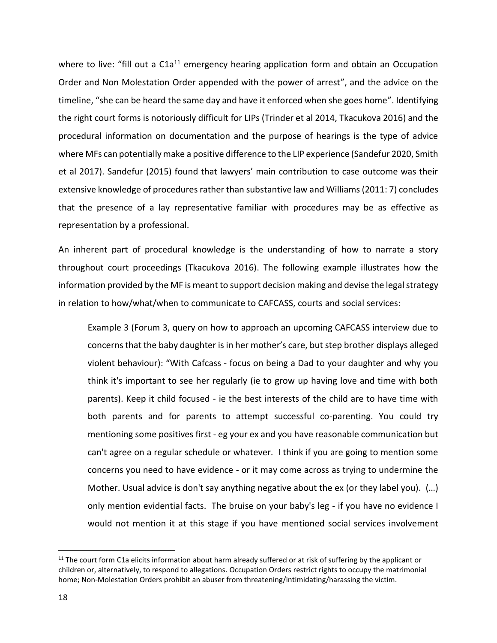where to live: "fill out a  $C1a^{11}$  emergency hearing application form and obtain an Occupation Order and Non Molestation Order appended with the power of arrest", and the advice on the timeline, "she can be heard the same day and have it enforced when she goes home". Identifying the right court forms is notoriously difficult for LIPs (Trinder et al 2014, Tkacukova 2016) and the procedural information on documentation and the purpose of hearings is the type of advice where MFs can potentially make a positive difference to the LIP experience (Sandefur 2020, Smith et al 2017). Sandefur (2015) found that lawyers' main contribution to case outcome was their extensive knowledge of procedures rather than substantive law and Williams (2011: 7) concludes that the presence of a lay representative familiar with procedures may be as effective as representation by a professional.

An inherent part of procedural knowledge is the understanding of how to narrate a story throughout court proceedings (Tkacukova 2016). The following example illustrates how the information provided by the MF is meant to support decision making and devise the legal strategy in relation to how/what/when to communicate to CAFCASS, courts and social services:

Example 3 (Forum 3, query on how to approach an upcoming CAFCASS interview due to concerns that the baby daughter is in her mother's care, but step brother displays alleged violent behaviour): "With Cafcass - focus on being a Dad to your daughter and why you think it's important to see her regularly (ie to grow up having love and time with both parents). Keep it child focused - ie the best interests of the child are to have time with both parents and for parents to attempt successful co-parenting. You could try mentioning some positives first - eg your ex and you have reasonable communication but can't agree on a regular schedule or whatever. I think if you are going to mention some concerns you need to have evidence - or it may come across as trying to undermine the Mother. Usual advice is don't say anything negative about the ex (or they label you). (…) only mention evidential facts. The bruise on your baby's leg - if you have no evidence I would not mention it at this stage if you have mentioned social services involvement

 $11$  The court form C1a elicits information about harm already suffered or at risk of suffering by the applicant or children or, alternatively, to respond to allegations. Occupation Orders restrict rights to occupy the matrimonial home; Non-Molestation Orders prohibit an abuser from threatening/intimidating/harassing the victim.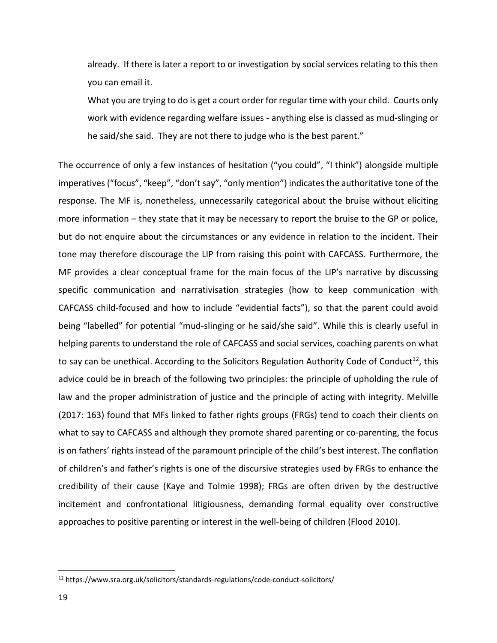already. If there is later a report to or investigation by social services relating to this then you can email it.

What you are trying to do is get a court order for regular time with your child. Courts only work with evidence regarding welfare issues - anything else is classed as mud-slinging or he said/she said. They are not there to judge who is the best parent."

The occurrence of only a few instances of hesitation ("you could", "I think") alongside multiple imperatives ("focus", "keep", "don't say", "only mention") indicates the authoritative tone of the response. The MF is, nonetheless, unnecessarily categorical about the bruise without eliciting more information – they state that it may be necessary to report the bruise to the GP or police, but do not enquire about the circumstances or any evidence in relation to the incident. Their tone may therefore discourage the LIP from raising this point with CAFCASS. Furthermore, the MF provides a clear conceptual frame for the main focus of the LIP's narrative by discussing specific communication and narrativisation strategies (how to keep communication with CAFCASS child-focused and how to include "evidential facts"), so that the parent could avoid being "labelled" for potential "mud-slinging or he said/she said". While this is clearly useful in helping parents to understand the role of CAFCASS and social services, coaching parents on what to say can be unethical. According to the Solicitors Regulation Authority Code of Conduct<sup>12</sup>, this advice could be in breach of the following two principles: the principle of upholding the rule of law and the proper administration of justice and the principle of acting with integrity. Melville (2017: 163) found that MFs linked to father rights groups (FRGs) tend to coach their clients on what to say to CAFCASS and although they promote shared parenting or co-parenting, the focus is on fathers' rights instead of the paramount principle of the child's best interest. The conflation of children's and father's rights is one of the discursive strategies used by FRGs to enhance the credibility of their cause (Kaye and Tolmie 1998); FRGs are often driven by the destructive incitement and confrontational litigiousness, demanding formal equality over constructive approaches to positive parenting or interest in the well-being of children (Flood 2010).

<sup>12</sup> https://www.sra.org.uk/solicitors/standards-regulations/code-conduct-solicitors/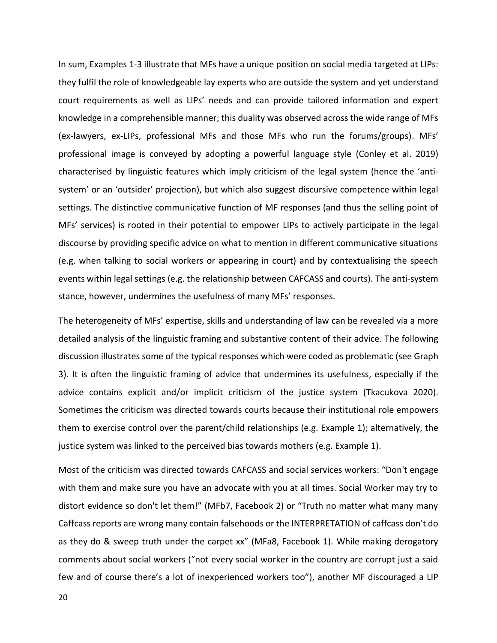In sum, Examples 1-3 illustrate that MFs have a unique position on social media targeted at LIPs: they fulfil the role of knowledgeable lay experts who are outside the system and yet understand court requirements as well as LIPs' needs and can provide tailored information and expert knowledge in a comprehensible manner; this duality was observed across the wide range of MFs (ex-lawyers, ex-LIPs, professional MFs and those MFs who run the forums/groups). MFs' professional image is conveyed by adopting a powerful language style (Conley et al. 2019) characterised by linguistic features which imply criticism of the legal system (hence the 'antisystem' or an 'outsider' projection), but which also suggest discursive competence within legal settings. The distinctive communicative function of MF responses (and thus the selling point of MFs' services) is rooted in their potential to empower LIPs to actively participate in the legal discourse by providing specific advice on what to mention in different communicative situations (e.g. when talking to social workers or appearing in court) and by contextualising the speech events within legal settings (e.g. the relationship between CAFCASS and courts). The anti-system stance, however, undermines the usefulness of many MFs' responses.

The heterogeneity of MFs' expertise, skills and understanding of law can be revealed via a more detailed analysis of the linguistic framing and substantive content of their advice. The following discussion illustrates some of the typical responses which were coded as problematic (see Graph 3). It is often the linguistic framing of advice that undermines its usefulness, especially if the advice contains explicit and/or implicit criticism of the justice system (Tkacukova 2020). Sometimes the criticism was directed towards courts because their institutional role empowers them to exercise control over the parent/child relationships (e.g. Example 1); alternatively, the justice system was linked to the perceived bias towards mothers (e.g. Example 1).

Most of the criticism was directed towards CAFCASS and social services workers: "Don't engage with them and make sure you have an advocate with you at all times. Social Worker may try to distort evidence so don't let them!" (MFb7, Facebook 2) or "Truth no matter what many many Caffcass reports are wrong many contain falsehoods or the INTERPRETATION of caffcass don't do as they do & sweep truth under the carpet xx" (MFa8, Facebook 1). While making derogatory comments about social workers ("not every social worker in the country are corrupt just a said few and of course there's a lot of inexperienced workers too"), another MF discouraged a LIP

20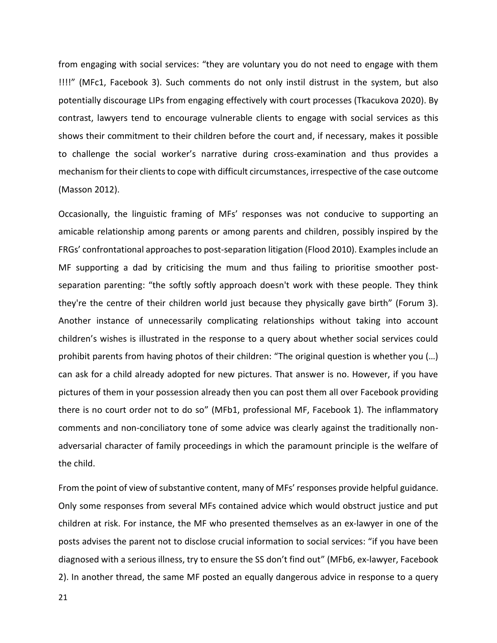from engaging with social services: "they are voluntary you do not need to engage with them !!!!" (MFc1, Facebook 3). Such comments do not only instil distrust in the system, but also potentially discourage LIPs from engaging effectively with court processes (Tkacukova 2020). By contrast, lawyers tend to encourage vulnerable clients to engage with social services as this shows their commitment to their children before the court and, if necessary, makes it possible to challenge the social worker's narrative during cross-examination and thus provides a mechanism for their clients to cope with difficult circumstances, irrespective of the case outcome (Masson 2012).

Occasionally, the linguistic framing of MFs' responses was not conducive to supporting an amicable relationship among parents or among parents and children, possibly inspired by the FRGs' confrontational approaches to post-separation litigation (Flood 2010). Examples include an MF supporting a dad by criticising the mum and thus failing to prioritise smoother postseparation parenting: "the softly softly approach doesn't work with these people. They think they're the centre of their children world just because they physically gave birth" (Forum 3). Another instance of unnecessarily complicating relationships without taking into account children's wishes is illustrated in the response to a query about whether social services could prohibit parents from having photos of their children: "The original question is whether you (…) can ask for a child already adopted for new pictures. That answer is no. However, if you have pictures of them in your possession already then you can post them all over Facebook providing there is no court order not to do so" (MFb1, professional MF, Facebook 1). The inflammatory comments and non-conciliatory tone of some advice was clearly against the traditionally nonadversarial character of family proceedings in which the paramount principle is the welfare of the child.

From the point of view of substantive content, many of MFs' responses provide helpful guidance. Only some responses from several MFs contained advice which would obstruct justice and put children at risk. For instance, the MF who presented themselves as an ex-lawyer in one of the posts advises the parent not to disclose crucial information to social services: "if you have been diagnosed with a serious illness, try to ensure the SS don't find out" (MFb6, ex-lawyer, Facebook 2). In another thread, the same MF posted an equally dangerous advice in response to a query

21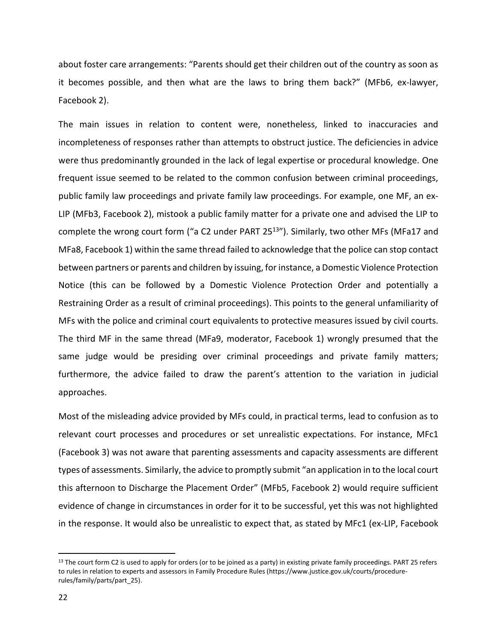about foster care arrangements: "Parents should get their children out of the country as soon as it becomes possible, and then what are the laws to bring them back?" (MFb6, ex-lawyer, Facebook 2).

The main issues in relation to content were, nonetheless, linked to inaccuracies and incompleteness of responses rather than attempts to obstruct justice. The deficiencies in advice were thus predominantly grounded in the lack of legal expertise or procedural knowledge. One frequent issue seemed to be related to the common confusion between criminal proceedings, public family law proceedings and private family law proceedings. For example, one MF, an ex-LIP (MFb3, Facebook 2), mistook a public family matter for a private one and advised the LIP to complete the wrong court form ("a C2 under PART 25<sup>13</sup>"). Similarly, two other MFs (MFa17 and MFa8, Facebook 1) within the same thread failed to acknowledge that the police can stop contact between partners or parents and children by issuing, for instance, a Domestic Violence Protection Notice (this can be followed by a Domestic Violence Protection Order and potentially a Restraining Order as a result of criminal proceedings). This points to the general unfamiliarity of MFs with the police and criminal court equivalents to protective measures issued by civil courts. The third MF in the same thread (MFa9, moderator, Facebook 1) wrongly presumed that the same judge would be presiding over criminal proceedings and private family matters; furthermore, the advice failed to draw the parent's attention to the variation in judicial approaches.

Most of the misleading advice provided by MFs could, in practical terms, lead to confusion as to relevant court processes and procedures or set unrealistic expectations. For instance, MFc1 (Facebook 3) was not aware that parenting assessments and capacity assessments are different types of assessments. Similarly, the advice to promptly submit "an application in to the local court this afternoon to Discharge the Placement Order" (MFb5, Facebook 2) would require sufficient evidence of change in circumstances in order for it to be successful, yet this was not highlighted in the response. It would also be unrealistic to expect that, as stated by MFc1 (ex-LIP, Facebook

<sup>13</sup> The court form C2 is used to apply for orders (or to be joined as a party) in existing private family proceedings. PART 25 refers to rules in relation to experts and assessors in Family Procedure Rules (https://www.justice.gov.uk/courts/procedurerules/family/parts/part\_25).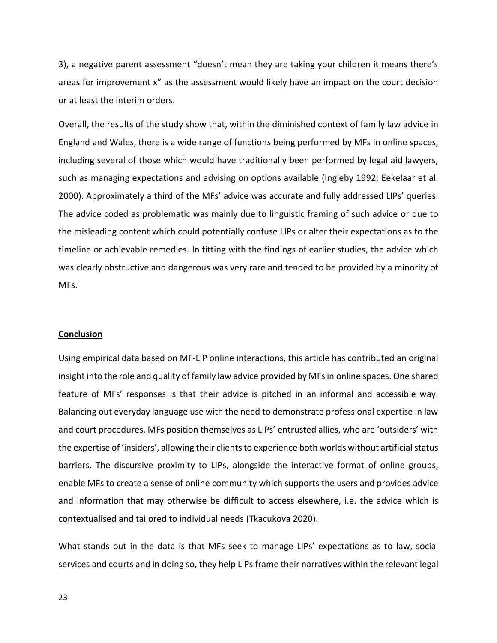3), a negative parent assessment "doesn't mean they are taking your children it means there's areas for improvement x" as the assessment would likely have an impact on the court decision or at least the interim orders.

Overall, the results of the study show that, within the diminished context of family law advice in England and Wales, there is a wide range of functions being performed by MFs in online spaces, including several of those which would have traditionally been performed by legal aid lawyers, such as managing expectations and advising on options available (Ingleby 1992; Eekelaar et al. 2000). Approximately a third of the MFs' advice was accurate and fully addressed LIPs' queries. The advice coded as problematic was mainly due to linguistic framing of such advice or due to the misleading content which could potentially confuse LIPs or alter their expectations as to the timeline or achievable remedies. In fitting with the findings of earlier studies, the advice which was clearly obstructive and dangerous was very rare and tended to be provided by a minority of MFs.

#### **Conclusion**

Using empirical data based on MF-LIP online interactions, this article has contributed an original insight into the role and quality of family law advice provided by MFs in online spaces. One shared feature of MFs' responses is that their advice is pitched in an informal and accessible way. Balancing out everyday language use with the need to demonstrate professional expertise in law and court procedures, MFs position themselves as LIPs' entrusted allies, who are 'outsiders' with the expertise of 'insiders', allowing their clients to experience both worlds without artificial status barriers. The discursive proximity to LIPs, alongside the interactive format of online groups, enable MFs to create a sense of online community which supports the users and provides advice and information that may otherwise be difficult to access elsewhere, i.e. the advice which is contextualised and tailored to individual needs (Tkacukova 2020).

What stands out in the data is that MFs seek to manage LIPs' expectations as to law, social services and courts and in doing so, they help LIPs frame their narratives within the relevant legal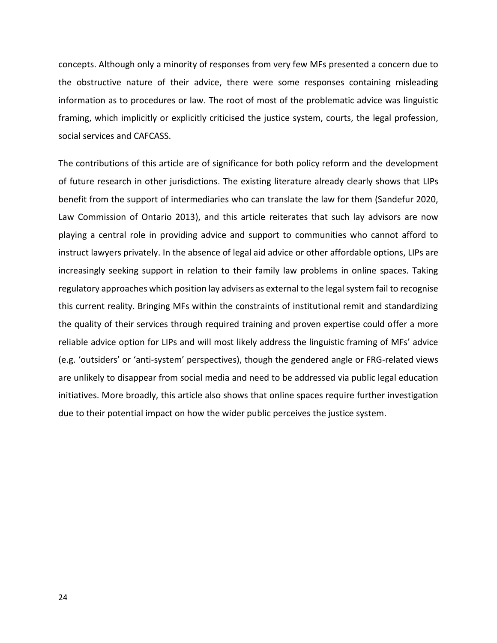concepts. Although only a minority of responses from very few MFs presented a concern due to the obstructive nature of their advice, there were some responses containing misleading information as to procedures or law. The root of most of the problematic advice was linguistic framing, which implicitly or explicitly criticised the justice system, courts, the legal profession, social services and CAFCASS.

The contributions of this article are of significance for both policy reform and the development of future research in other jurisdictions. The existing literature already clearly shows that LIPs benefit from the support of intermediaries who can translate the law for them (Sandefur 2020, Law Commission of Ontario 2013), and this article reiterates that such lay advisors are now playing a central role in providing advice and support to communities who cannot afford to instruct lawyers privately. In the absence of legal aid advice or other affordable options, LIPs are increasingly seeking support in relation to their family law problems in online spaces. Taking regulatory approaches which position lay advisers as external to the legal system fail to recognise this current reality. Bringing MFs within the constraints of institutional remit and standardizing the quality of their services through required training and proven expertise could offer a more reliable advice option for LIPs and will most likely address the linguistic framing of MFs' advice (e.g. 'outsiders' or 'anti-system' perspectives), though the gendered angle or FRG-related views are unlikely to disappear from social media and need to be addressed via public legal education initiatives. More broadly, this article also shows that online spaces require further investigation due to their potential impact on how the wider public perceives the justice system.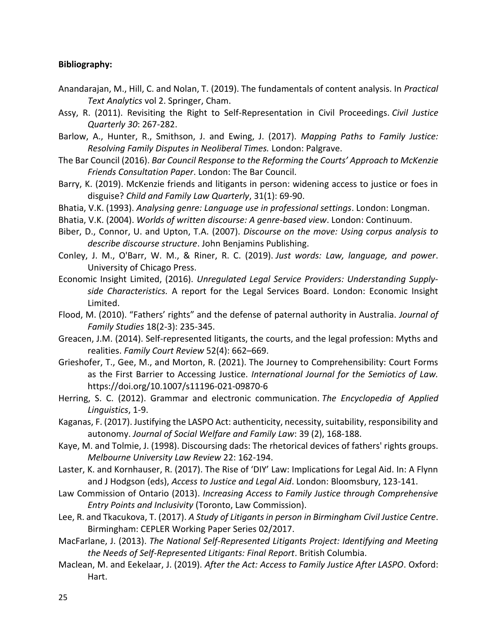# **Bibliography:**

- Anandarajan, M., Hill, C. and Nolan, T. (2019). The fundamentals of content analysis. In *Practical Text Analytics* vol 2. Springer, Cham.
- Assy, R. (2011). Revisiting the Right to Self-Representation in Civil Proceedings. *Civil Justice Quarterly 30*: 267-282.
- Barlow, A., Hunter, R., Smithson, J. and Ewing, J. (2017). *Mapping Paths to Family Justice: Resolving Family Disputes in Neoliberal Times.* London: Palgrave.
- The Bar Council (2016). *Bar Council Response to the Reforming the Courts' Approach to McKenzie Friends Consultation Paper*. London: The Bar Council.
- Barry, K. (2019). McKenzie friends and litigants in person: widening access to justice or foes in disguise? *Child and Family Law Quarterly*, 31(1): 69-90.
- Bhatia, V.K. (1993). *Analysing genre: Language use in professional settings*. London: Longman.
- Bhatia, V.K. (2004). *Worlds of written discourse: A genre-based view*. London: Continuum.
- Biber, D., Connor, U. and Upton, T.A. (2007). *Discourse on the move: Using corpus analysis to describe discourse structure*. John Benjamins Publishing.
- Conley, J. M., O'Barr, W. M., & Riner, R. C. (2019). *Just words: Law, language, and power*. University of Chicago Press.
- Economic Insight Limited, (2016). *Unregulated Legal Service Providers: Understanding Supplyside Characteristics.* A report for the Legal Services Board. London: Economic Insight Limited.
- Flood, M. (2010). "Fathers' rights" and the defense of paternal authority in Australia. *Journal of Family Studies* 18(2-3): 235-345.
- Greacen, J.M. (2014). Self‐represented litigants, the courts, and the legal profession: Myths and realities. *Family Court Review* 52(4): 662–669.
- Grieshofer, T., Gee, M., and Morton, R. (2021). The Journey to Comprehensibility: Court Forms as the First Barrier to Accessing Justice. *International Journal for the Semiotics of Law.* https://doi.org/10.1007/s11196-021-09870-6
- Herring, S. C. (2012). Grammar and electronic communication. *The Encyclopedia of Applied Linguistics*, 1-9.
- Kaganas, F. (2017). Justifying the LASPO Act: authenticity, necessity, suitability, responsibility and autonomy. *Journal of Social Welfare and Family Law*: 39 (2), 168-188.
- Kaye, M. and Tolmie, J. (1998). Discoursing dads: The rhetorical devices of fathers' rights groups. *Melbourne University Law Review* 22: 162-194.
- Laster, K. and Kornhauser, R. (2017). The Rise of 'DIY' Law: Implications for Legal Aid. In: A Flynn and J Hodgson (eds), *Access to Justice and Legal Aid*. London: Bloomsbury, 123-141.
- Law Commission of Ontario (2013). *Increasing Access to Family Justice through Comprehensive Entry Points and Inclusivity* (Toronto, Law Commission).
- Lee, R. and Tkacukova, T. (2017). *A Study of Litigants in person in Birmingham Civil Justice Centre*. Birmingham: CEPLER Working Paper Series 02/2017.
- MacFarlane, J. (2013). *The National Self-Represented Litigants Project: Identifying and Meeting the Needs of Self-Represented Litigants: Final Report*. British Columbia.
- Maclean, M. and Eekelaar, J. (2019). *After the Act: Access to Family Justice After LASPO*. Oxford: Hart.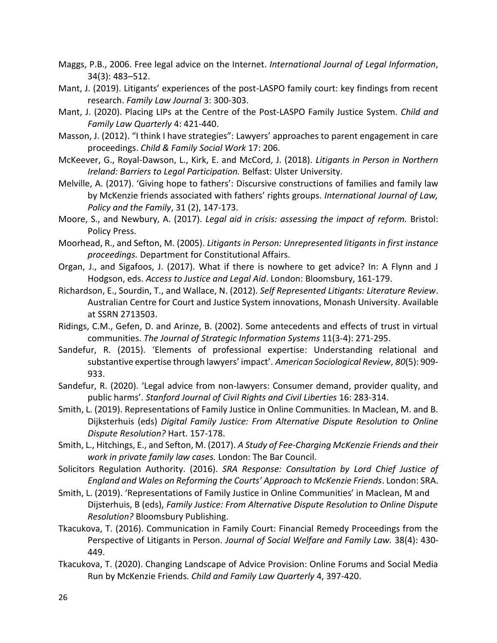- Maggs, P.B., 2006. Free legal advice on the Internet. *International Journal of Legal Information*, 34(3): 483–512.
- Mant, J. (2019). Litigants' experiences of the post-LASPO family court: key findings from recent research. *Family Law Journal* 3: 300-303.
- Mant, J. (2020). Placing LIPs at the Centre of the Post-LASPO Family Justice System. *Child and Family Law Quarterly* 4: 421-440.
- Masson, J. (2012). "I think I have strategies": Lawyers' approaches to parent engagement in care proceedings. *Child & Family Social Work* 17: 206.
- McKeever, G., Royal-Dawson, L., Kirk, E. and McCord, J. (2018). *Litigants in Person in Northern Ireland: Barriers to Legal Participation.* Belfast: Ulster University.
- Melville, A. (2017). 'Giving hope to fathers': Discursive constructions of families and family law by McKenzie friends associated with fathers' rights groups. *International Journal of Law, Policy and the Family*, 31 (2), 147-173.
- Moore, S., and Newbury, A. (2017). *Legal aid in crisis: assessing the impact of reform.* Bristol: Policy Press.
- Moorhead, R., and Sefton, M. (2005). *Litigants in Person: Unrepresented litigants in first instance proceedings.* Department for Constitutional Affairs.
- Organ, J., and Sigafoos, J. (2017). What if there is nowhere to get advice? In: A Flynn and J Hodgson, eds. *Access to Justice and Legal Aid*. London: Bloomsbury, 161-179.
- Richardson, E., Sourdin, T., and Wallace, N. (2012). *Self Represented Litigants: Literature Review*. Australian Centre for Court and Justice System innovations, Monash University. Available at SSRN 2713503.
- Ridings, C.M., Gefen, D. and Arinze, B. (2002). Some antecedents and effects of trust in virtual communities. *The Journal of Strategic Information Systems* 11(3-4): 271-295.
- Sandefur, R. (2015). 'Elements of professional expertise: Understanding relational and substantive expertise through lawyers' impact'. *American Sociological Review*, *80*(5): 909- 933.
- Sandefur, R. (2020). 'Legal advice from non-lawyers: Consumer demand, provider quality, and public harms'. *Stanford Journal of Civil Rights and Civil Liberties* 16: 283-314.
- Smith, L. (2019). Representations of Family Justice in Online Communities. In Maclean, M. and B. Dijksterhuis (eds) *Digital Family Justice: From Alternative Dispute Resolution to Online Dispute Resolution?* Hart. 157-178.
- Smith, L., Hitchings, E., and Sefton, M. (2017). *A Study of Fee-Charging McKenzie Friends and their work in private family law cases.* London: The Bar Council.
- Solicitors Regulation Authority. (2016). *SRA Response: Consultation by Lord Chief Justice of England and Wales on Reforming the Courts' Approach to McKenzie Friends*. London: SRA.
- Smith, L. (2019). 'Representations of Family Justice in Online Communities' in Maclean, M and Dijsterhuis, B (eds), *Family Justice: From Alternative Dispute Resolution to Online Dispute Resolution?* Bloomsbury Publishing.
- Tkacukova, T. (2016). Communication in Family Court: Financial Remedy Proceedings from the Perspective of Litigants in Person. *Journal of Social Welfare and Family Law.* 38(4): 430- 449.
- Tkacukova, T. (2020). Changing Landscape of Advice Provision: Online Forums and Social Media Run by McKenzie Friends. *Child and Family Law Quarterly* 4, 397-420.